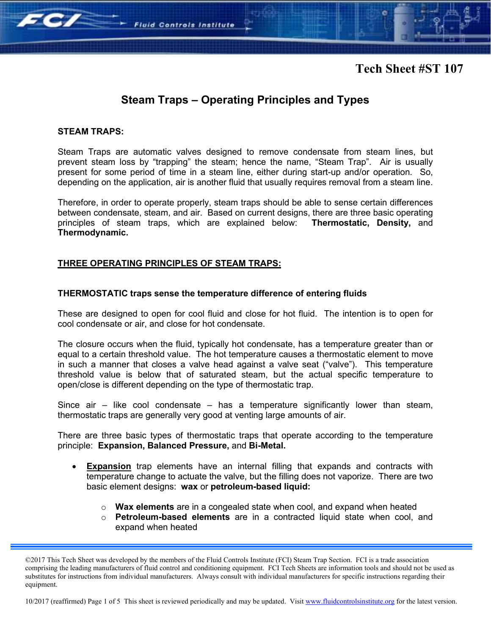# **Tech Sheet #ST 107**

# **Steam Traps – Operating Principles and Types**

### **STEAM TRAPS:**

 $70/$ 

Steam Traps are automatic valves designed to remove condensate from steam lines, but prevent steam loss by "trapping" the steam; hence the name, "Steam Trap". Air is usually present for some period of time in a steam line, either during start-up and/or operation. So, depending on the application, air is another fluid that usually requires removal from a steam line.

Therefore, in order to operate properly, steam traps should be able to sense certain differences between condensate, steam, and air. Based on current designs, there are three basic operating principles of steam traps, which are explained below: **Thermostatic, Density,** and **Thermodynamic.**

### **THREE OPERATING PRINCIPLES OF STEAM TRAPS:**

**Fluid Controls Institute** 

#### **THERMOSTATIC traps sense the temperature difference of entering fluids**

These are designed to open for cool fluid and close for hot fluid. The intention is to open for cool condensate or air, and close for hot condensate.

The closure occurs when the fluid, typically hot condensate, has a temperature greater than or equal to a certain threshold value. The hot temperature causes a thermostatic element to move in such a manner that closes a valve head against a valve seat ("valve"). This temperature threshold value is below that of saturated steam, but the actual specific temperature to open/close is different depending on the type of thermostatic trap.

Since air – like cool condensate – has a temperature significantly lower than steam, thermostatic traps are generally very good at venting large amounts of air.

There are three basic types of thermostatic traps that operate according to the temperature principle: **Expansion, Balanced Pressure,** and **Bi-Metal.** 

- **Expansion** trap elements have an internal filling that expands and contracts with temperature change to actuate the valve, but the filling does not vaporize. There are two basic element designs: **wax** or **petroleum-based liquid:** 
	- o **Wax elements** are in a congealed state when cool, and expand when heated
	- o **Petroleum-based elements** are in a contracted liquid state when cool, and expand when heated

10/2017 (reaffirmed) Page 1 of 5 This sheet is reviewed periodically and may be updated. Visit www.fluidcontrolsinstitute.org for the latest version.

<sup>©2017</sup> This Tech Sheet was developed by the members of the Fluid Controls Institute (FCI) Steam Trap Section. FCI is a trade association comprising the leading manufacturers of fluid control and conditioning equipment. FCI Tech Sheets are information tools and should not be used as substitutes for instructions from individual manufacturers. Always consult with individual manufacturers for specific instructions regarding their equipment.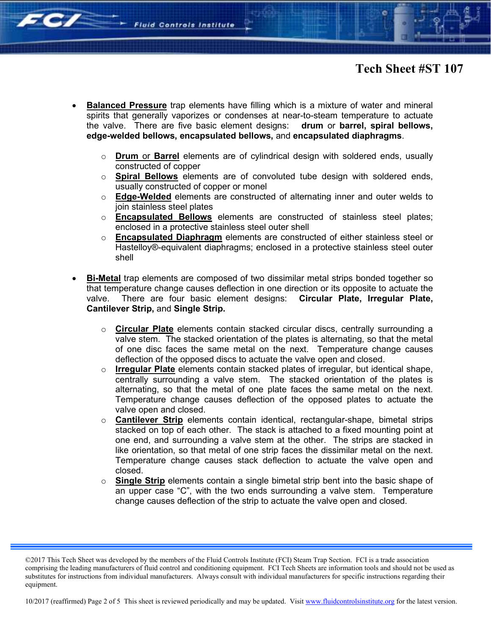**EC/** 

- **Balanced Pressure** trap elements have filling which is a mixture of water and mineral spirits that generally vaporizes or condenses at near-to-steam temperature to actuate the valve. There are five basic element designs: **drum** or **barrel, spiral bellows, edge-welded bellows, encapsulated bellows,** and **encapsulated diaphragms**.
	- o **Drum** or **Barrel** elements are of cylindrical design with soldered ends, usually constructed of copper
	- o **Spiral Bellows** elements are of convoluted tube design with soldered ends, usually constructed of copper or monel
	- o **Edge-Welded** elements are constructed of alternating inner and outer welds to join stainless steel plates
	- o **Encapsulated Bellows** elements are constructed of stainless steel plates; enclosed in a protective stainless steel outer shell
	- o **Encapsulated Diaphragm** elements are constructed of either stainless steel or Hastelloy®-equivalent diaphragms; enclosed in a protective stainless steel outer shell
- **Bi-Metal** trap elements are composed of two dissimilar metal strips bonded together so that temperature change causes deflection in one direction or its opposite to actuate the valve. There are four basic element designs: **Circular Plate, Irregular Plate, Cantilever Strip,** and **Single Strip.** 
	- o **Circular Plate** elements contain stacked circular discs, centrally surrounding a valve stem. The stacked orientation of the plates is alternating, so that the metal of one disc faces the same metal on the next. Temperature change causes deflection of the opposed discs to actuate the valve open and closed.
	- o **Irregular Plate** elements contain stacked plates of irregular, but identical shape, centrally surrounding a valve stem. The stacked orientation of the plates is alternating, so that the metal of one plate faces the same metal on the next. Temperature change causes deflection of the opposed plates to actuate the valve open and closed.
	- o **Cantilever Strip** elements contain identical, rectangular-shape, bimetal strips stacked on top of each other. The stack is attached to a fixed mounting point at one end, and surrounding a valve stem at the other. The strips are stacked in like orientation, so that metal of one strip faces the dissimilar metal on the next. Temperature change causes stack deflection to actuate the valve open and closed.
	- o **Single Strip** elements contain a single bimetal strip bent into the basic shape of an upper case "C", with the two ends surrounding a valve stem. Temperature change causes deflection of the strip to actuate the valve open and closed.

10/2017 (reaffirmed) Page 2 of 5 This sheet is reviewed periodically and may be updated. Visit www.fluidcontrolsinstitute.org for the latest version.

<sup>©2017</sup> This Tech Sheet was developed by the members of the Fluid Controls Institute (FCI) Steam Trap Section. FCI is a trade association comprising the leading manufacturers of fluid control and conditioning equipment. FCI Tech Sheets are information tools and should not be used as substitutes for instructions from individual manufacturers. Always consult with individual manufacturers for specific instructions regarding their equipment.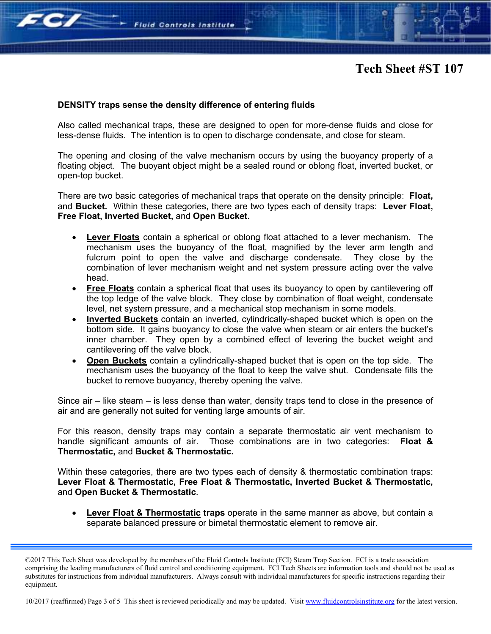

## **DENSITY traps sense the density difference of entering fluids**

**Fluid Controls Institute** 

 $\sim$   $\sim$ 

Also called mechanical traps, these are designed to open for more-dense fluids and close for less-dense fluids. The intention is to open to discharge condensate, and close for steam.

The opening and closing of the valve mechanism occurs by using the buoyancy property of a floating object. The buoyant object might be a sealed round or oblong float, inverted bucket, or open-top bucket.

There are two basic categories of mechanical traps that operate on the density principle: **Float,**  and **Bucket.** Within these categories, there are two types each of density traps: **Lever Float, Free Float, Inverted Bucket,** and **Open Bucket.** 

- **Lever Floats** contain a spherical or oblong float attached to a lever mechanism. The mechanism uses the buoyancy of the float, magnified by the lever arm length and fulcrum point to open the valve and discharge condensate. They close by the combination of lever mechanism weight and net system pressure acting over the valve head.
- **Free Floats** contain a spherical float that uses its buoyancy to open by cantilevering off the top ledge of the valve block. They close by combination of float weight, condensate level, net system pressure, and a mechanical stop mechanism in some models.
- **Inverted Buckets** contain an inverted, cylindrically-shaped bucket which is open on the bottom side. It gains buoyancy to close the valve when steam or air enters the bucket's inner chamber. They open by a combined effect of levering the bucket weight and cantilevering off the valve block.
- **Open Buckets** contain a cylindrically-shaped bucket that is open on the top side. The mechanism uses the buoyancy of the float to keep the valve shut. Condensate fills the bucket to remove buoyancy, thereby opening the valve.

Since air – like steam – is less dense than water, density traps tend to close in the presence of air and are generally not suited for venting large amounts of air.

For this reason, density traps may contain a separate thermostatic air vent mechanism to handle significant amounts of air. Those combinations are in two categories: **Float & Thermostatic,** and **Bucket & Thermostatic.**

Within these categories, there are two types each of density & thermostatic combination traps: **Lever Float & Thermostatic, Free Float & Thermostatic, Inverted Bucket & Thermostatic,** and **Open Bucket & Thermostatic**.

 **Lever Float & Thermostatic traps** operate in the same manner as above, but contain a separate balanced pressure or bimetal thermostatic element to remove air.

10/2017 (reaffirmed) Page 3 of 5 This sheet is reviewed periodically and may be updated. Visit www.fluidcontrolsinstitute.org for the latest version.

<sup>©2017</sup> This Tech Sheet was developed by the members of the Fluid Controls Institute (FCI) Steam Trap Section. FCI is a trade association comprising the leading manufacturers of fluid control and conditioning equipment. FCI Tech Sheets are information tools and should not be used as substitutes for instructions from individual manufacturers. Always consult with individual manufacturers for specific instructions regarding their equipment.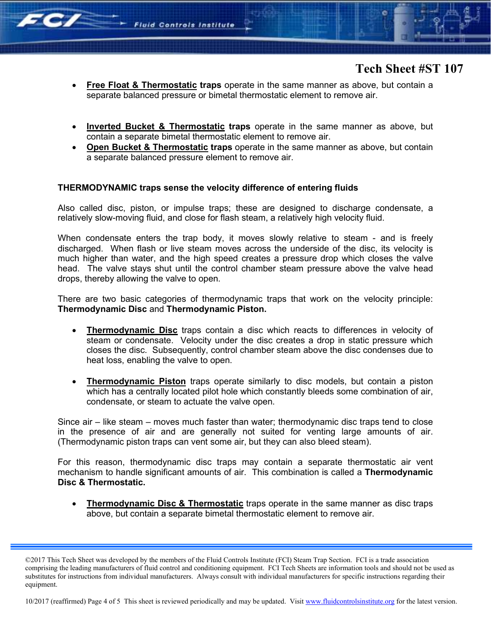

- **Free Float & Thermostatic traps** operate in the same manner as above, but contain a separate balanced pressure or bimetal thermostatic element to remove air.
- **Inverted Bucket & Thermostatic traps** operate in the same manner as above, but contain a separate bimetal thermostatic element to remove air.
- **Open Bucket & Thermostatic traps** operate in the same manner as above, but contain a separate balanced pressure element to remove air.

### **THERMODYNAMIC traps sense the velocity difference of entering fluids**

**Fluid Controls Institute** 

**Fe/** 

Also called disc, piston, or impulse traps; these are designed to discharge condensate, a relatively slow-moving fluid, and close for flash steam, a relatively high velocity fluid.

When condensate enters the trap body, it moves slowly relative to steam - and is freely discharged. When flash or live steam moves across the underside of the disc, its velocity is much higher than water, and the high speed creates a pressure drop which closes the valve head. The valve stays shut until the control chamber steam pressure above the valve head drops, thereby allowing the valve to open.

There are two basic categories of thermodynamic traps that work on the velocity principle: **Thermodynamic Disc** and **Thermodynamic Piston.**

- **Thermodynamic Disc** traps contain a disc which reacts to differences in velocity of steam or condensate. Velocity under the disc creates a drop in static pressure which closes the disc. Subsequently, control chamber steam above the disc condenses due to heat loss, enabling the valve to open.
- **Thermodynamic Piston** traps operate similarly to disc models, but contain a piston which has a centrally located pilot hole which constantly bleeds some combination of air, condensate, or steam to actuate the valve open.

Since air – like steam – moves much faster than water; thermodynamic disc traps tend to close in the presence of air and are generally not suited for venting large amounts of air. (Thermodynamic piston traps can vent some air, but they can also bleed steam).

For this reason, thermodynamic disc traps may contain a separate thermostatic air vent mechanism to handle significant amounts of air. This combination is called a **Thermodynamic Disc & Thermostatic.**

**Thermodynamic Disc & Thermostatic** traps operate in the same manner as disc traps above, but contain a separate bimetal thermostatic element to remove air.

10/2017 (reaffirmed) Page 4 of 5 This sheet is reviewed periodically and may be updated. Visit www.fluidcontrolsinstitute.org for the latest version.

<sup>©2017</sup> This Tech Sheet was developed by the members of the Fluid Controls Institute (FCI) Steam Trap Section. FCI is a trade association comprising the leading manufacturers of fluid control and conditioning equipment. FCI Tech Sheets are information tools and should not be used as substitutes for instructions from individual manufacturers. Always consult with individual manufacturers for specific instructions regarding their equipment.